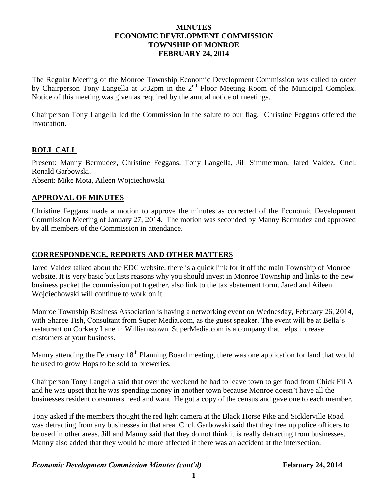## **MINUTES ECONOMIC DEVELOPMENT COMMISSION TOWNSHIP OF MONROE FEBRUARY 24, 2014**

The Regular Meeting of the Monroe Township Economic Development Commission was called to order by Chairperson Tony Langella at 5:32pm in the 2<sup>nd</sup> Floor Meeting Room of the Municipal Complex. Notice of this meeting was given as required by the annual notice of meetings.

Chairperson Tony Langella led the Commission in the salute to our flag. Christine Feggans offered the Invocation.

# **ROLL CALL**

Present: Manny Bermudez, Christine Feggans, Tony Langella, Jill Simmermon, Jared Valdez, Cncl. Ronald Garbowski. Absent: Mike Mota, Aileen Wojciechowski

## **APPROVAL OF MINUTES**

Christine Feggans made a motion to approve the minutes as corrected of the Economic Development Commission Meeting of January 27, 2014. The motion was seconded by Manny Bermudez and approved by all members of the Commission in attendance.

#### **CORRESPONDENCE, REPORTS AND OTHER MATTERS**

Jared Valdez talked about the EDC website, there is a quick link for it off the main Township of Monroe website. It is very basic but lists reasons why you should invest in Monroe Township and links to the new business packet the commission put together, also link to the tax abatement form. Jared and Aileen Wojciechowski will continue to work on it.

Monroe Township Business Association is having a networking event on Wednesday, February 26, 2014, with Sharee Tish, Consultant from Super Media.com, as the guest speaker. The event will be at Bella's restaurant on Corkery Lane in Williamstown. SuperMedia.com is a company that helps increase customers at your business.

Manny attending the February 18<sup>th</sup> Planning Board meeting, there was one application for land that would be used to grow Hops to be sold to breweries.

Chairperson Tony Langella said that over the weekend he had to leave town to get food from Chick Fil A and he was upset that he was spending money in another town because Monroe doesn't have all the businesses resident consumers need and want. He got a copy of the census and gave one to each member.

Tony asked if the members thought the red light camera at the Black Horse Pike and Sicklerville Road was detracting from any businesses in that area. Cncl. Garbowski said that they free up police officers to be used in other areas. Jill and Manny said that they do not think it is really detracting from businesses. Manny also added that they would be more affected if there was an accident at the intersection.

#### *Economic Development Commission Minutes (cont'd)* February 24, 2014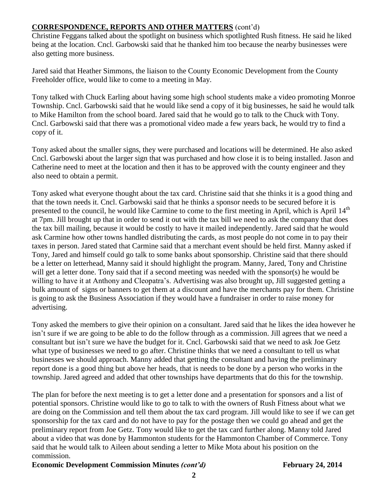# **CORRESPONDENCE, REPORTS AND OTHER MATTERS** (cont'd)

Christine Feggans talked about the spotlight on business which spotlighted Rush fitness. He said he liked being at the location. Cncl. Garbowski said that he thanked him too because the nearby businesses were also getting more business.

Jared said that Heather Simmons, the liaison to the County Economic Development from the County Freeholder office, would like to come to a meeting in May.

Tony talked with Chuck Earling about having some high school students make a video promoting Monroe Township. Cncl. Garbowski said that he would like send a copy of it big businesses, he said he would talk to Mike Hamilton from the school board. Jared said that he would go to talk to the Chuck with Tony. Cncl. Garbowski said that there was a promotional video made a few years back, he would try to find a copy of it.

Tony asked about the smaller signs, they were purchased and locations will be determined. He also asked Cncl. Garbowski about the larger sign that was purchased and how close it is to being installed. Jason and Catherine need to meet at the location and then it has to be approved with the county engineer and they also need to obtain a permit.

Tony asked what everyone thought about the tax card. Christine said that she thinks it is a good thing and that the town needs it. Cncl. Garbowski said that he thinks a sponsor needs to be secured before it is presented to the council, he would like Carmine to come to the first meeting in April, which is April 14<sup>th</sup> at 7pm. Jill brought up that in order to send it out with the tax bill we need to ask the company that does the tax bill mailing, because it would be costly to have it mailed independently. Jared said that he would ask Carmine how other towns handled distributing the cards, as most people do not come in to pay their taxes in person. Jared stated that Carmine said that a merchant event should be held first. Manny asked if Tony, Jared and himself could go talk to some banks about sponsorship. Christine said that there should be a letter on letterhead, Manny said it should highlight the program. Manny, Jared, Tony and Christine will get a letter done. Tony said that if a second meeting was needed with the sponsor(s) he would be willing to have it at Anthony and Cleopatra's. Advertising was also brought up, Jill suggested getting a bulk amount of signs or banners to get them at a discount and have the merchants pay for them. Christine is going to ask the Business Association if they would have a fundraiser in order to raise money for advertising.

Tony asked the members to give their opinion on a consultant. Jared said that he likes the idea however he isn't sure if we are going to be able to do the follow through as a commission. Jill agrees that we need a consultant but isn't sure we have the budget for it. Cncl. Garbowski said that we need to ask Joe Getz what type of businesses we need to go after. Christine thinks that we need a consultant to tell us what businesses we should approach. Manny added that getting the consultant and having the preliminary report done is a good thing but above her heads, that is needs to be done by a person who works in the township. Jared agreed and added that other townships have departments that do this for the township.

The plan for before the next meeting is to get a letter done and a presentation for sponsors and a list of potential sponsors. Christine would like to go to talk to with the owners of Rush Fitness about what we are doing on the Commission and tell them about the tax card program. Jill would like to see if we can get sponsorship for the tax card and do not have to pay for the postage then we could go ahead and get the preliminary report from Joe Getz. Tony would like to get the tax card further along. Manny told Jared about a video that was done by Hammonton students for the Hammonton Chamber of Commerce. Tony said that he would talk to Aileen about sending a letter to Mike Mota about his position on the commission.

# **Economic Development Commission Minutes** *(cont'd)* **February 24, 2014**